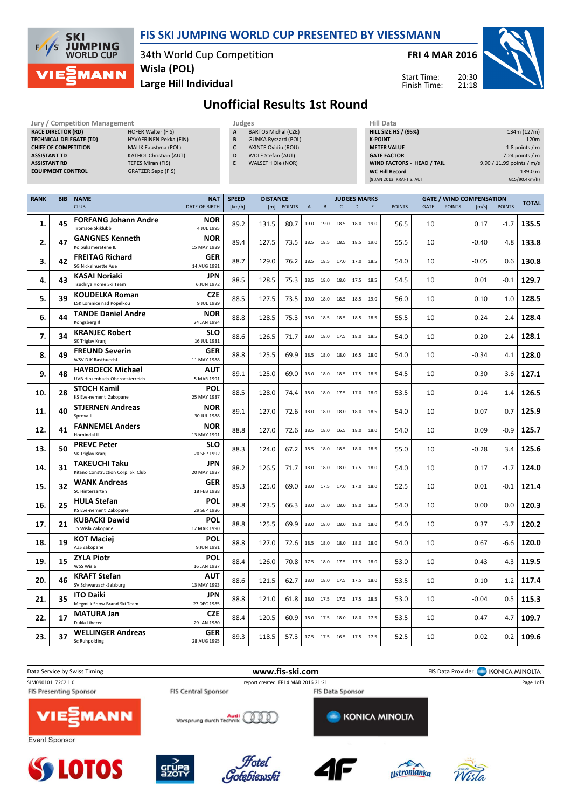

## FIS SKI JUMPING WORLD CUP PRESENTED BY VIESSMANN

34th World Cup Competition Wisla (POL)

Jury / Competition Management **Accord Participates** Judges **Hill Data** 

FRI 4 MAR 2016

Start Time: Finish Time: 20:30 21:18



Large Hill Individual

Unofficial Results 1st Round

| <b>RACE DIRECTOR (RD)</b><br><b>HOFER Walter (FIS)</b><br><b>TECHNICAL DELEGATE (TD)</b><br>HYVAERINEN Pekka (FIN)<br><b>CHIEF OF COMPETITION</b><br>MALIK Faustyna (POL)<br><b>ASSISTANT TD</b><br>KATHOL Christian (AUT)<br><b>ASSISTANT RD</b><br><b>TEPES Miran (FIS)</b><br><b>EQUIPMENT CONTROL</b><br><b>GRATZER Sepp (FIS)</b> |            |                                                            |                                    |                        | <b>BARTOS Michal (CZE)</b><br><b>GUNKA Ryszard (POL)</b><br>AXINTE Ovidiu (ROU)<br>WOLF Stefan (AUT)<br>WALSETH Ole (NOR) |      |                                                            |           |                          |                | <b>K-POINT</b> | HILL SIZE HS / (95%)<br><b>METER VALUE</b><br><b>GATE FACTOR</b><br>WIND FACTORS - HEAD / TAIL<br><b>WC Hill Record</b><br>(8 JAN 2013 KRAFT S. AUT |    |                        |         | 9.90 / 11.99 points / m/s | 134m (127m)<br>120m<br>1.8 points / m<br>$7.24$ points / m<br>139.0 m<br>G15/90.4km/h) |
|----------------------------------------------------------------------------------------------------------------------------------------------------------------------------------------------------------------------------------------------------------------------------------------------------------------------------------------|------------|------------------------------------------------------------|------------------------------------|------------------------|---------------------------------------------------------------------------------------------------------------------------|------|------------------------------------------------------------|-----------|--------------------------|----------------|----------------|-----------------------------------------------------------------------------------------------------------------------------------------------------|----|------------------------|---------|---------------------------|----------------------------------------------------------------------------------------|
| <b>RANK</b>                                                                                                                                                                                                                                                                                                                            | <b>BIB</b> | <b>NAME</b><br><b>CLUB</b>                                 | <b>NAT</b><br><b>DATE OF BIRTH</b> | <b>SPEED</b><br>[km/h] | <b>DISTANCE</b><br>[m] POINTS                                                                                             |      | <b>JUDGES MARKS</b><br>$\overline{A}$<br>B<br>$\mathsf{C}$ |           | D                        | E.             | <b>POINTS</b>  | <b>GATE / WIND COMPENSATION</b><br>GATE<br><b>POINTS</b>                                                                                            |    | <b>POINTS</b><br>[m/s] |         | <b>TOTAL</b>              |                                                                                        |
| 1.                                                                                                                                                                                                                                                                                                                                     | 45         | <b>FORFANG Johann Andre</b><br><b>Tromsoe Skiklubb</b>     | NOR<br>4 JUL 1995                  | 89.2                   | 131.5                                                                                                                     | 80.7 | 19.0                                                       | 19.0      |                          | 18.5 18.0 19.0 |                | 56.5                                                                                                                                                | 10 |                        | 0.17    | $-1.7$                    | 135.5                                                                                  |
| 2.                                                                                                                                                                                                                                                                                                                                     | 47         | <b>GANGNES Kenneth</b><br>Kolbukameratene IL               | NOR<br>15 MAY 1989                 | 89.4                   | 127.5                                                                                                                     | 73.5 |                                                            | 18.5 18.5 | 18.5                     | 18.5 19.0      |                | 55.5                                                                                                                                                | 10 |                        | $-0.40$ | 4.8                       | 133.8                                                                                  |
| 3.                                                                                                                                                                                                                                                                                                                                     | 42         | <b>FREITAG Richard</b><br>SG Nickelhuette Aue              | GER<br>14 AUG 1991                 | 88.7                   | 129.0                                                                                                                     | 76.2 |                                                            | 18.5 18.5 | 17.0 17.0 18.5           |                |                | 54.0                                                                                                                                                | 10 |                        | $-0.05$ | 0.6                       | 130.8                                                                                  |
| 4.                                                                                                                                                                                                                                                                                                                                     | 43         | KASAI Noriaki<br>Tsuchiya Home Ski Team                    | JPN<br>6 JUN 1972                  | 88.5                   | 128.5                                                                                                                     | 75.3 | 18.5                                                       | 18.0      | 18.0 17.5 18.5           |                |                | 54.5                                                                                                                                                | 10 |                        | 0.01    | $-0.1$                    | 129.7                                                                                  |
| 5.                                                                                                                                                                                                                                                                                                                                     | 39         | <b>KOUDELKA Roman</b><br><b>LSK Lomnice nad Popelkou</b>   | <b>CZE</b><br>9 JUL 1989           | 88.5                   | 127.5                                                                                                                     | 73.5 |                                                            |           | 19.0 18.0 18.5 18.5 19.0 |                |                | 56.0                                                                                                                                                | 10 |                        | 0.10    | $-1.0$                    | 128.5                                                                                  |
| 6.                                                                                                                                                                                                                                                                                                                                     | 44         | <b>TANDE Daniel Andre</b><br>Kongsberg If                  | NOR<br>24 JAN 1994                 | 88.8                   | 128.5                                                                                                                     | 75.3 | 18.0                                                       | 18.5      | 18.5 18.5 18.5           |                |                | 55.5                                                                                                                                                | 10 |                        | 0.24    | $-2.4$                    | 128.4                                                                                  |
| 7.                                                                                                                                                                                                                                                                                                                                     | 34         | <b>KRANJEC Robert</b><br>SK Triglav Kranj                  | <b>SLO</b><br>16 JUL 1981          | 88.6                   | 126.5                                                                                                                     | 71.7 | 18.0                                                       |           | 18.0 17.5 18.0 18.5      |                |                | 54.0                                                                                                                                                | 10 |                        | $-0.20$ | 2.4                       | 128.1                                                                                  |
| 8.                                                                                                                                                                                                                                                                                                                                     | 49         | <b>FREUND Severin</b><br>WSV DJK Rastbuechl                | GER<br>11 MAY 1988                 | 88.8                   | 125.5                                                                                                                     | 69.9 |                                                            |           | 18.5 18.0 18.0 16.5 18.0 |                |                | 54.0                                                                                                                                                | 10 |                        | $-0.34$ | 4.1                       | 128.0                                                                                  |
| 9.                                                                                                                                                                                                                                                                                                                                     | 48         | <b>HAYBOECK Michael</b><br>UVB Hinzenbach-Oberoesterreich  | AUT<br>5 MAR 1991                  | 89.1                   | 125.0                                                                                                                     | 69.0 |                                                            |           | 18.0 18.0 18.5 17.5 18.5 |                |                | 54.5                                                                                                                                                | 10 |                        | $-0.30$ | 3.6                       | 127.1                                                                                  |
| 10.                                                                                                                                                                                                                                                                                                                                    | 28         | <b>STOCH Kamil</b><br>KS Eve-nement Zakopane               | <b>POL</b><br>25 MAY 1987          | 88.5                   | 128.0                                                                                                                     | 74.4 |                                                            |           | 18.0 18.0 17.5 17.0 18.0 |                |                | 53.5                                                                                                                                                | 10 |                        | 0.14    | $-1.4$                    | 126.5                                                                                  |
| 11.                                                                                                                                                                                                                                                                                                                                    | 40         | <b>STJERNEN Andreas</b><br>Sprova IL                       | NOR<br>30 JUL 1988                 | 89.1                   | 127.0                                                                                                                     | 72.6 |                                                            |           | 18.0 18.0 18.0 18.0 18.5 |                |                | 54.0                                                                                                                                                | 10 |                        | 0.07    | $-0.7$                    | 125.9                                                                                  |
| 12.                                                                                                                                                                                                                                                                                                                                    | 41         | <b>FANNEMEL Anders</b><br>Hornindal II                     | NOR<br>13 MAY 1991                 | 88.8                   | 127.0                                                                                                                     | 72.6 |                                                            |           | 18.5 18.0 16.5 18.0 18.0 |                |                | 54.0                                                                                                                                                | 10 |                        | 0.09    | $-0.9$                    | 125.7                                                                                  |
| 13.                                                                                                                                                                                                                                                                                                                                    | 50         | <b>PREVC Peter</b><br>SK Triglav Kranj                     | <b>SLO</b><br>20 SEP 1992          | 88.3                   | 124.0                                                                                                                     | 67.2 |                                                            |           | 18.5 18.0 18.5 18.0 18.5 |                |                | 55.0                                                                                                                                                | 10 |                        | $-0.28$ | 3.4                       | 125.6                                                                                  |
| 14.                                                                                                                                                                                                                                                                                                                                    | 31         | <b>TAKEUCHI Taku</b><br>Kitano Construction Corp. Ski Club | JPN<br>20 MAY 1987                 | 88.2                   | 126.5                                                                                                                     | 71.7 |                                                            |           | 18.0 18.0 18.0 17.5 18.0 |                |                | 54.0                                                                                                                                                | 10 |                        | 0.17    | $-1.7$                    | 124.0                                                                                  |
| 15.                                                                                                                                                                                                                                                                                                                                    | 32         | <b>WANK Andreas</b><br>SC Hinterzarten                     | GER<br>18 FEB 1988                 | 89.3                   | 125.0                                                                                                                     | 69.0 | 18.0                                                       | 17.5      | 17.0                     | 17.0 18.0      |                | 52.5                                                                                                                                                | 10 |                        | 0.01    | $-0.1$                    | 121.4                                                                                  |
| 16.                                                                                                                                                                                                                                                                                                                                    | 25         | <b>HULA Stefan</b><br>KS Eve-nement Zakopane               | <b>POL</b><br>29 SEP 1986          | 88.8                   | 123.5                                                                                                                     | 66.3 |                                                            |           | 18.0 18.0 18.0 18.0 18.5 |                |                | 54.0                                                                                                                                                | 10 |                        | 0.00    | 0.0                       | 120.3                                                                                  |
| 17.                                                                                                                                                                                                                                                                                                                                    | 21         | <b>KUBACKI Dawid</b><br>TS Wisla Zakopane                  | <b>POL</b><br>12 MAR 1990          | 88.8                   | 125.5                                                                                                                     | 69.9 |                                                            |           | 18.0 18.0 18.0 18.0 18.0 |                |                | 54.0                                                                                                                                                | 10 |                        | 0.37    | $-3.7$                    | 120.2                                                                                  |
| 18.                                                                                                                                                                                                                                                                                                                                    | 19         | <b>KOT Maciej</b><br>AZS Zakopane                          | <b>POL</b><br>9 JUN 1991           | 88.8                   | 127.0                                                                                                                     | 72.6 |                                                            | 18.5 18.0 | 18.0                     | 18.0 18.0      |                | 54.0                                                                                                                                                | 10 |                        | 0.67    | -6.6                      | 120.0                                                                                  |
| 19.                                                                                                                                                                                                                                                                                                                                    | 15         | <b>ZYLA Piotr</b><br>WSS Wisla                             | <b>POL</b><br>16 JAN 1987          | 88.4                   | 126.0                                                                                                                     | 70.8 |                                                            |           | 17.5 18.0 17.5 17.5 18.0 |                |                | 53.0                                                                                                                                                | 10 |                        | 0.43    | $-4.3$                    | 119.5                                                                                  |
| 20.                                                                                                                                                                                                                                                                                                                                    | 46         | <b>KRAFT Stefan</b><br>SV Schwarzach-Salzburg              | <b>AUT</b><br>13 MAY 1993          | 88.6                   | 121.5                                                                                                                     | 62.7 |                                                            |           | 18.0 18.0 17.5 17.5 18.0 |                |                | 53.5                                                                                                                                                | 10 |                        | $-0.10$ | 1.2                       | 117.4                                                                                  |
| 21.                                                                                                                                                                                                                                                                                                                                    | 35         | <b>ITO Daiki</b><br>Megmilk Snow Brand Ski Team            | <b>JPN</b><br>27 DEC 1985          | 88.8                   | 121.0                                                                                                                     | 61.8 |                                                            |           | 18.0 17.5 17.5 17.5 18.5 |                |                | 53.0                                                                                                                                                | 10 |                        | $-0.04$ | $0.5\,$                   | 115.3                                                                                  |
| 22.                                                                                                                                                                                                                                                                                                                                    | 17         | <b>MATURA Jan</b><br>Dukla Liberec                         | <b>CZE</b><br>29 JAN 1980          | 88.4                   | 120.5                                                                                                                     | 60.9 |                                                            |           | 18.0 17.5 18.0 18.0 17.5 |                |                | 53.5                                                                                                                                                | 10 |                        | 0.47    | $-4.7$                    | 109.7                                                                                  |
| 23.                                                                                                                                                                                                                                                                                                                                    | 37         | <b>WELLINGER Andreas</b><br>Sc Ruhpolding                  | GER<br>28 AUG 1995                 | 89.3                   | 118.5                                                                                                                     | 57.3 |                                                            |           | 17.5 17.5 16.5 17.5 17.5 |                |                | 52.5                                                                                                                                                | 10 |                        | 0.02    | $-0.2$                    | 109.6                                                                                  |

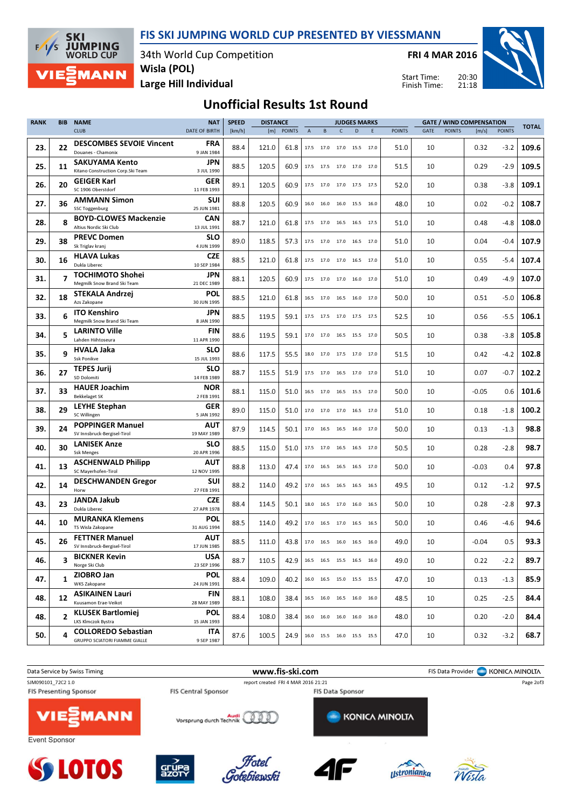FIS SKI JUMPING WORLD CUP PRESENTED BY VIESSMANN

**JUMPING**<br>WORLD CUP 34th World Cup Competition Wisla (POL) **MANN** 

**SKI** 

 $F/1/s$ 

FRI 4 MAR 2016



Large Hill Individual

20:30 21:18 Start Time: Finish Time:

## Unofficial Results 1st Round

| <b>RANK</b> | <b>BIB</b>              | <b>NAME</b>                                                 | <b>NAT</b>                | <b>SPEED</b> | <b>DISTANCE</b> |               |                |      | <b>JUDGES MARKS</b>          |   |        |               | <b>GATE / WIND COMPENSATION</b> |               |         |               | <b>TOTAL</b> |
|-------------|-------------------------|-------------------------------------------------------------|---------------------------|--------------|-----------------|---------------|----------------|------|------------------------------|---|--------|---------------|---------------------------------|---------------|---------|---------------|--------------|
|             |                         | <b>CLUB</b>                                                 | <b>DATE OF BIRTH</b>      | [km/h]       | [m]             | <b>POINTS</b> | $\overline{A}$ | B    | $\mathsf{C}$                 | D | F      | <b>POINTS</b> | GATE                            | <b>POINTS</b> | [m/s]   | <b>POINTS</b> |              |
| 23.         | 22                      | <b>DESCOMBES SEVOIE Vincent</b><br>Douanes - Chamonix       | <b>FRA</b><br>9 JAN 1984  | 88.4         | 121.0           | 61.8          |                |      | 17.5 17.0 17.0 15.5 17.0     |   |        | 51.0          | 10                              |               | 0.32    | -3.2          | 109.6        |
| 25.         | 11                      | SAKUYAMA Kento<br>Kitano Construction Corp.Ski Team         | jpn<br>3 JUL 1990         | 88.5         | 120.5           | 60.9          |                |      | 17.5 17.5 17.0 17.0 17.0     |   |        | 51.5          | 10                              |               | 0.29    | $-2.9$        | 109.5        |
| 26.         | 20                      | <b>GEIGER Karl</b><br>SC 1906 Oberstdorf                    | GER<br>11 FEB 1993        | 89.1         | 120.5           | 60.9          |                |      | 17.5 17.0 17.0 17.5 17.5     |   |        | 52.0          | 10                              |               | 0.38    | -3.8          | 109.1        |
| 27.         | 36                      | <b>AMMANN Simon</b><br><b>SSC Toggenburg</b>                | <b>SUI</b><br>25 JUN 1981 | 88.8         | 120.5           | 60.9          |                |      | 16.0 16.0 16.0 15.5 16.0     |   |        | 48.0          | 10                              |               | 0.02    | -0.2          | 108.7        |
| 28.         | 8                       | <b>BOYD-CLOWES Mackenzie</b><br>Altius Nordic Ski Club      | CAN<br>13 JUL 1991        | 88.7         | 121.0           | 61.8          |                |      | 17.5 17.0 16.5 16.5 17.5     |   |        | 51.0          | 10                              |               | 0.48    | -4.8          | 108.0        |
| 29.         | 38                      | <b>PREVC Domen</b><br>Sk Triglav kranj                      | <b>SLO</b><br>4 JUN 1999  | 89.0         | 118.5           | 57.3          |                |      | 17.5 17.0 17.0 16.5 17.0     |   |        | 51.0          | 10                              |               | 0.04    | -0.4          | 107.9        |
| 30.         | 16                      | <b>HLAVA Lukas</b><br>Dukla Liberec                         | CZE<br>10 SEP 1984        | 88.5         | 121.0           | 61.8          |                |      | 17.5 17.0 17.0 16.5 17.0     |   |        | 51.0          | 10                              |               | 0.55    | -5.4          | 107.4        |
| 31.         | $\overline{\mathbf{z}}$ | <b>TOCHIMOTO Shohei</b><br>Megmilk Snow Brand Ski Team      | jpn<br>21 DEC 1989        | 88.1         | 120.5           | 60.9          |                |      | 17.5 17.0 17.0 16.0 17.0     |   |        | 51.0          | 10                              |               | 0.49    | -4.9          | 107.0        |
| 32.         | 18                      | STEKALA Andrzej<br>Azs Zakopane                             | POL<br>30 JUN 1995        | 88.5         | 121.0           | 61.8          |                |      | 16.5 17.0 16.5 16.0 17.0     |   |        | 50.0          | 10                              |               | 0.51    | -5.0          | 106.8        |
| 33.         | 6                       | <b>ITO Kenshiro</b><br>Megmilk Snow Brand Ski Team          | jpn<br>8 JAN 1990         | 88.5         | 119.5           | 59.1          |                |      | 17.5 17.5 17.0 17.5 17.5     |   |        | 52.5          | 10                              |               | 0.56    | -5.5          | 106.1        |
| 34.         | 5                       | <b>LARINTO Ville</b><br>Lahden Hiihtoseura                  | <b>FIN</b><br>11 APR 1990 | 88.6         | 119.5           | 59.1          |                |      | 17.0 17.0 16.5 15.5 17.0     |   |        | 50.5          | 10                              |               | 0.38    | -3.8          | 105.8        |
| 35.         | q                       | HVALA Jaka<br><b>Ssk Ponikve</b>                            | <b>SLO</b><br>15 JUL 1993 | 88.6         | 117.5           | 55.5          |                |      | 18.0 17.0 17.5 17.0 17.0     |   |        | 51.5          | 10                              |               | 0.42    | -4.2          | 102.8        |
| 36.         | 27                      | <b>TEPES Jurij</b><br>SD Dolomiti                           | <b>SLO</b><br>14 FEB 1989 | 88.7         | 115.5           | 51.9          |                |      | 17.5 17.0 16.5 17.0 17.0     |   |        | 51.0          | 10                              |               | 0.07    | $-0.7$        | 102.2        |
| 37.         | 33                      | <b>HAUER Joachim</b><br><b>Bekkelaget SK</b>                | <b>NOR</b><br>2 FEB 1991  | 88.1         | 115.0           | 51.0          |                |      | 16.5 17.0 16.5 15.5 17.0     |   |        | 50.0          | 10                              |               | $-0.05$ | 0.6           | 101.6        |
| 38.         | 29                      | <b>LEYHE Stephan</b><br>SC Willingen                        | GER<br>5 JAN 1992         | 89.0         | 115.0           | 51.0          |                |      | 17.0 17.0 17.0 16.5 17.0     |   |        | 51.0          | 10                              |               | 0.18    | $-1.8$        | 100.2        |
| 39.         | 24                      | <b>POPPINGER Manuel</b><br>SV Innsbruck-Bergisel-Tirol      | <b>AUT</b><br>19 MAY 1989 | 87.9         | 114.5           | 50.1          |                |      | 17.0  16.5  16.5  16.0  17.0 |   |        | 50.0          | 10                              |               | 0.13    | $-1.3$        | 98.8         |
| 40.         | 30                      | <b>LANISEK Anze</b><br><b>Ssk Menges</b>                    | <b>SLO</b><br>20 APR 1996 | 88.5         | 115.0           | 51.0          |                |      | 17.5 17.0 16.5 16.5 17.0     |   |        | 50.5          | 10                              |               | 0.28    | $-2.8$        | 98.7         |
| 41.         | 13                      | <b>ASCHENWALD Philipp</b><br>SC Mayerhofen-Tirol            | <b>AUT</b><br>12 NOV 1995 | 88.8         | 113.0           | 47.4          |                |      | 17.0 16.5 16.5 16.5 17.0     |   |        | 50.0          | 10                              |               | $-0.03$ | 0.4           | 97.8         |
| 42.         | 14                      | <b>DESCHWANDEN Gregor</b><br>Horw                           | SUI<br>27 FEB 1991        | 88.2         | 114.0           | 49.2          | 17.0           | 16.5 | 16.5 16.5                    |   | - 16.5 | 49.5          | 10                              |               | 0.12    | $-1.2$        | 97.5         |
| 43.         | 23                      | JANDA Jakub<br>Dukla Liberec                                | CZE<br>27 APR 1978        | 88.4         | 114.5           | 50.1          |                |      | 18.0 16.5 17.0 16.0 16.5     |   |        | 50.0          | 10                              |               | 0.28    | $-2.8$        | 97.3         |
| 44.         | 10                      | <b>MURANKA Klemens</b><br>TS Wisla Zakopane                 | POL<br>31 AUG 1994        | 88.5         | 114.0           | 49.2          |                |      | 17.0 16.5 17.0 16.5 16.5     |   |        | 50.0          | 10                              |               | 0.46    | $-4.6$        | 94.6         |
| 45.         | 26                      | <b>FETTNER Manuel</b><br>SV Innsbruck-Bergisel-Tirol        | <b>AUT</b><br>17 JUN 1985 | 88.5         | 111.0           | 43.8          |                |      | 17.0 16.5 16.0 16.5 16.0     |   |        | 49.0          | 10                              |               | $-0.04$ | 0.5           | 93.3         |
| 46.         | 3                       | <b>BICKNER Kevin</b><br>Norge Ski Club                      | <b>USA</b><br>23 SEP 1996 | 88.7         | 110.5           | 42.9          |                |      | 16.5 16.5 15.5 16.5 16.0     |   |        | 49.0          | 10                              |               | 0.22    | -2.2          | 89.7         |
| 47.         | 1                       | ZIOBRO Jan<br>WKS Zakopane                                  | POL<br>24 JUN 1991        | 88.4         | 109.0           | 40.2          |                |      | 16.0 16.5 15.0 15.5 15.5     |   |        | 47.0          | 10                              |               | 0.13    | -1.3          | 85.9         |
| 48.         | 12                      | ASIKAINEN Lauri<br>Kuusamon Erae-Veikot                     | <b>FIN</b><br>28 MAY 1989 | 88.1         | 108.0           | 38.4          |                |      | 16.5 16.0 16.5 16.0 16.0     |   |        | 48.5          | 10                              |               | 0.25    | $-2.5$        | 84.4         |
| 48.         | $\overline{2}$          | <b>KLUSEK Bartlomiej</b><br>LKS Klmczok Bystra              | POL<br>15 JAN 1993        | 88.4         | 108.0           | 38.4          |                |      | 16.0 16.0 16.0 16.0 16.0     |   |        | 48.0          | 10                              |               | 0.20    | -2.0          | 84.4         |
| 50.         | 4                       | <b>COLLOREDO Sebastian</b><br>GRUPPO SCIATORI FIAMME GIALLE | ITA<br>9 SEP 1987         | 87.6         | 100.5           | 24.9          |                |      | 16.0 15.5 16.0 15.5 15.5     |   |        | 47.0          | 10                              |               | 0.32    | -3.2          | 68.7         |